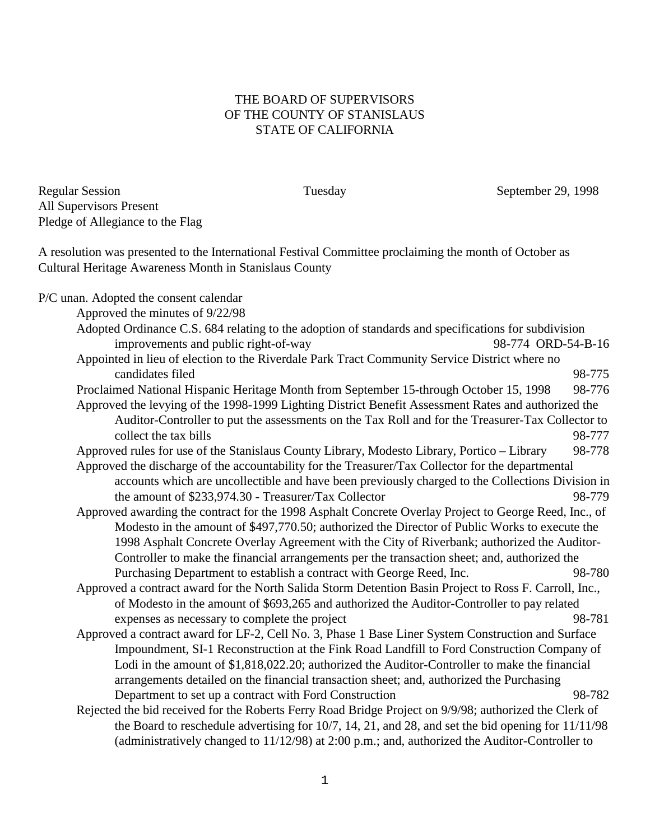## THE BOARD OF SUPERVISORS OF THE COUNTY OF STANISLAUS STATE OF CALIFORNIA

Regular Session Tuesday September 29, 1998 All Supervisors Present Pledge of Allegiance to the Flag

A resolution was presented to the International Festival Committee proclaiming the month of October as Cultural Heritage Awareness Month in Stanislaus County

P/C unan. Adopted the consent calendar Approved the minutes of 9/22/98

- Adopted Ordinance C.S. 684 relating to the adoption of standards and specifications for subdivision improvements and public right-of-way 98-774 ORD-54-B-16 Appointed in lieu of election to the Riverdale Park Tract Community Service District where no candidates filed 98-775
- Proclaimed National Hispanic Heritage Month from September 15-through October 15, 1998 98-776 Approved the levying of the 1998-1999 Lighting District Benefit Assessment Rates and authorized the
- Auditor-Controller to put the assessments on the Tax Roll and for the Treasurer-Tax Collector to collect the tax bills 98-777 Approved rules for use of the Stanislaus County Library, Modesto Library, Portico – Library 98-778
- Approved the discharge of the accountability for the Treasurer/Tax Collector for the departmental accounts which are uncollectible and have been previously charged to the Collections Division in the amount of \$233,974.30 - Treasurer/Tax Collector 98-779
- Approved awarding the contract for the 1998 Asphalt Concrete Overlay Project to George Reed, Inc., of Modesto in the amount of \$497,770.50; authorized the Director of Public Works to execute the 1998 Asphalt Concrete Overlay Agreement with the City of Riverbank; authorized the Auditor-Controller to make the financial arrangements per the transaction sheet; and, authorized the Purchasing Department to establish a contract with George Reed, Inc. 98-780
- Approved a contract award for the North Salida Storm Detention Basin Project to Ross F. Carroll, Inc., of Modesto in the amount of \$693,265 and authorized the Auditor-Controller to pay related expenses as necessary to complete the project 98-781
- Approved a contract award for LF-2, Cell No. 3, Phase 1 Base Liner System Construction and Surface Impoundment, SI-1 Reconstruction at the Fink Road Landfill to Ford Construction Company of Lodi in the amount of \$1,818,022.20; authorized the Auditor-Controller to make the financial arrangements detailed on the financial transaction sheet; and, authorized the Purchasing Department to set up a contract with Ford Construction 98-782
- Rejected the bid received for the Roberts Ferry Road Bridge Project on 9/9/98; authorized the Clerk of the Board to reschedule advertising for 10/7, 14, 21, and 28, and set the bid opening for 11/11/98 (administratively changed to 11/12/98) at 2:00 p.m.; and, authorized the Auditor-Controller to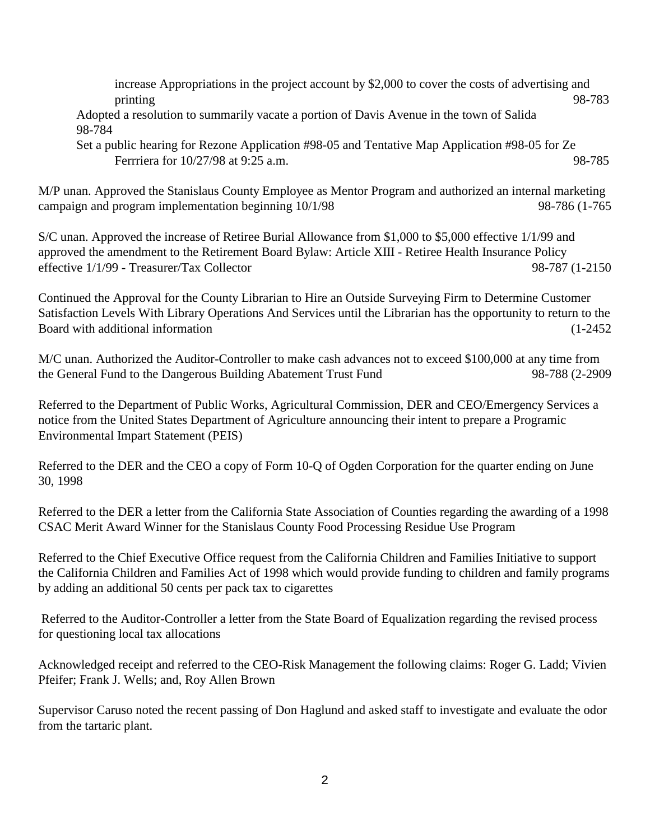increase Appropriations in the project account by \$2,000 to cover the costs of advertising and printing 98-783

Adopted a resolution to summarily vacate a portion of Davis Avenue in the town of Salida 98-784

Set a public hearing for Rezone Application #98-05 and Tentative Map Application #98-05 for Ze Ferrriera for 10/27/98 at 9:25 a.m. 98-785

M/P unan. Approved the Stanislaus County Employee as Mentor Program and authorized an internal marketing campaign and program implementation beginning  $10/1/98$  98-786 (1-765

S/C unan. Approved the increase of Retiree Burial Allowance from \$1,000 to \$5,000 effective 1/1/99 and approved the amendment to the Retirement Board Bylaw: Article XIII - Retiree Health Insurance Policy effective 1/1/99 - Treasurer/Tax Collector 98-787 (1-2150

Continued the Approval for the County Librarian to Hire an Outside Surveying Firm to Determine Customer Satisfaction Levels With Library Operations And Services until the Librarian has the opportunity to return to the Board with additional information (1-2452

M/C unan. Authorized the Auditor-Controller to make cash advances not to exceed \$100,000 at any time from the General Fund to the Dangerous Building Abatement Trust Fund 98-788 (2-2909

Referred to the Department of Public Works, Agricultural Commission, DER and CEO/Emergency Services a notice from the United States Department of Agriculture announcing their intent to prepare a Programic Environmental Impart Statement (PEIS)

Referred to the DER and the CEO a copy of Form 10-Q of Ogden Corporation for the quarter ending on June 30, 1998

Referred to the DER a letter from the California State Association of Counties regarding the awarding of a 1998 CSAC Merit Award Winner for the Stanislaus County Food Processing Residue Use Program

Referred to the Chief Executive Office request from the California Children and Families Initiative to support the California Children and Families Act of 1998 which would provide funding to children and family programs by adding an additional 50 cents per pack tax to cigarettes

 Referred to the Auditor-Controller a letter from the State Board of Equalization regarding the revised process for questioning local tax allocations

Acknowledged receipt and referred to the CEO-Risk Management the following claims: Roger G. Ladd; Vivien Pfeifer; Frank J. Wells; and, Roy Allen Brown

Supervisor Caruso noted the recent passing of Don Haglund and asked staff to investigate and evaluate the odor from the tartaric plant.